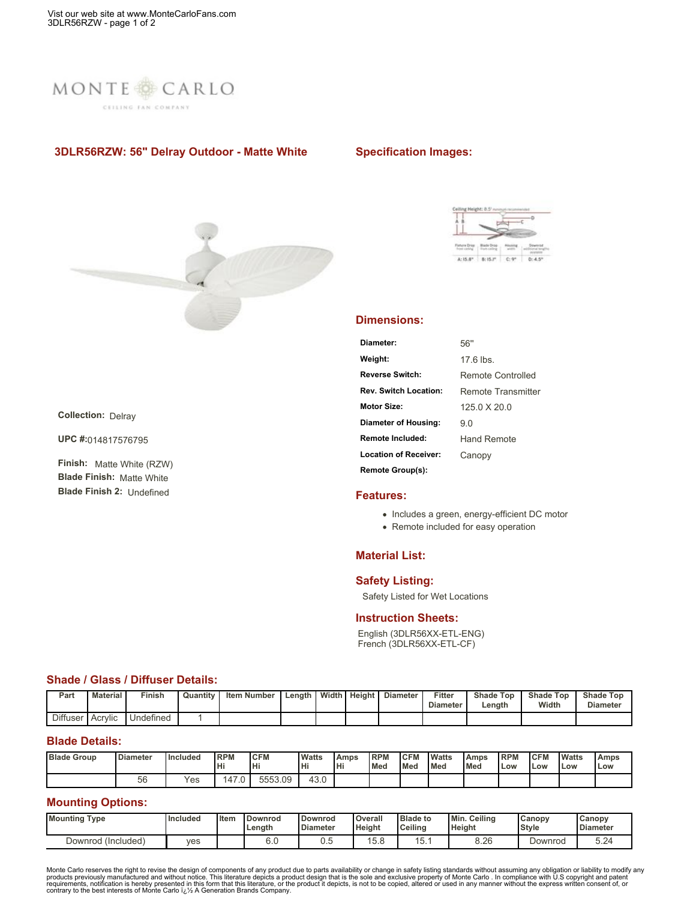

# **3DLR56RZW: 56" Delray Outdoor - Matte White**

## **Specification Images:**



**Collection:** Delray

**UPC #:**014817576795

**Finish:** Matte White (RZW) **Blade Finish:** Matte White **Blade Finish 2:** Undefined



#### **Dimensions:**

| Diameter:                    | 56"                |
|------------------------------|--------------------|
| Weight:                      | $176$ lbs          |
| <b>Reverse Switch:</b>       | Remote Controlled  |
| <b>Rev. Switch Location:</b> | Remote Transmitter |
| Motor Size:                  | $1250$ X 200       |
| Diameter of Housing:         | 9 O                |
| Remote Included:             | Hand Remote        |
| <b>Location of Receiver:</b> | Canopy             |
| Remote Group(s):             |                    |

### **Features:**

- Includes a green, energy-efficient DC motor
- Remote included for easy operation

### **Material List:**

## **Safety Listing:**

Safety Listed for Wet Locations

### **Instruction Sheets:**

English (3DLR56XX-ETL-ENG) French (3DLR56XX-ETL-CF)

### **Shade / Glass / Diffuser Details:**

| Part            | <b>Material</b>        | Finish    | Quantity | <b>Item Number</b> | Length | Width I | Height | <b>Diameter</b> | Fitter<br><b>Diameter</b> | <b>Shade Top</b><br>Length | <b>Shade Top</b><br>Width | <b>Shade Top</b><br><b>Diameter</b> |
|-----------------|------------------------|-----------|----------|--------------------|--------|---------|--------|-----------------|---------------------------|----------------------------|---------------------------|-------------------------------------|
| <b>Diffuser</b> | $\cdots$<br>∵l Acrvlic | Undefined |          |                    |        |         |        |                 |                           |                            |                           |                                     |

## **Blade Details:**

| <b>Blade Group</b> | <b>Diameter</b> | <b>Included</b> | <b>IRPM</b><br>Hi   | <b>CFM</b><br>Iнi | <b>Watts</b><br>lн | <b>Amps</b><br>Hi | <b>RPM</b><br><b>Med</b> | <b>CFM</b><br><b>I</b> Med | <b>Watts</b><br><b>Med</b> | l Amps<br><b>Med</b> | <b>RPM</b><br>Low | <b>CFM</b><br>Low | <b>Watts</b><br>Low | Amps<br>Low |
|--------------------|-----------------|-----------------|---------------------|-------------------|--------------------|-------------------|--------------------------|----------------------------|----------------------------|----------------------|-------------------|-------------------|---------------------|-------------|
|                    | 56              | Yes             | <b>47</b><br>$\sim$ | 5553.09           | 43.0               |                   |                          |                            |                            |                      |                   |                   |                     |             |

## **Mounting Options:**

| <b>Mounting</b><br>Type | <b>Included</b> | Item | <b>Downrod</b><br>Length | <b>Downrod</b><br><b>Diameter</b> | Overall<br><b>Height</b> | <b>Blade to</b><br><b>Ceiling</b> | Min.<br>Ceilino<br>Height | Canopy<br>Style | $\mathsf{G}$ anop $\mathsf{V}$<br><b>Diameter</b> |
|-------------------------|-----------------|------|--------------------------|-----------------------------------|--------------------------|-----------------------------------|---------------------------|-----------------|---------------------------------------------------|
| Downrod (Included)      | ves             |      | 6. <sub>C</sub>          | ∪.∪                               | ی جا ا<br>O.C            | . . ب                             | 8.26                      | Downrod         | 3.Z4                                              |

Monte Carlo reserves the right to revise the design of components of any product due to parts availability or change in safety listing standards without assuming any obligation or liability to modify any requirements, noti